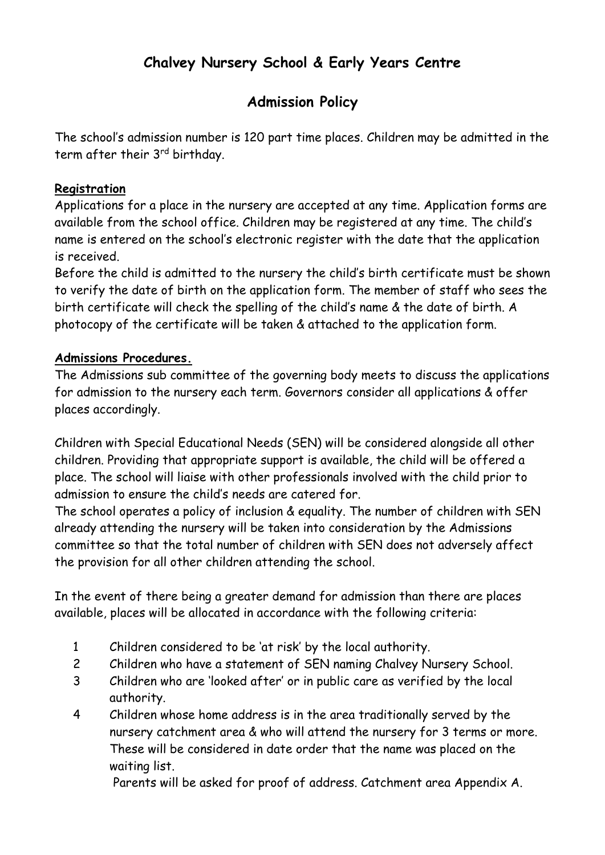# **Chalvey Nursery School & Early Years Centre**

## **Admission Policy**

The school's admission number is 120 part time places. Children may be admitted in the term after their 3<sup>rd</sup> birthday.

#### **Registration**

Applications for a place in the nursery are accepted at any time. Application forms are available from the school office. Children may be registered at any time. The child's name is entered on the school's electronic register with the date that the application is received.

Before the child is admitted to the nursery the child's birth certificate must be shown to verify the date of birth on the application form. The member of staff who sees the birth certificate will check the spelling of the child's name & the date of birth. A photocopy of the certificate will be taken & attached to the application form.

#### **Admissions Procedures.**

The Admissions sub committee of the governing body meets to discuss the applications for admission to the nursery each term. Governors consider all applications & offer places accordingly.

Children with Special Educational Needs (SEN) will be considered alongside all other children. Providing that appropriate support is available, the child will be offered a place. The school will liaise with other professionals involved with the child prior to admission to ensure the child's needs are catered for.

The school operates a policy of inclusion & equality. The number of children with SEN already attending the nursery will be taken into consideration by the Admissions committee so that the total number of children with SEN does not adversely affect the provision for all other children attending the school.

In the event of there being a greater demand for admission than there are places available, places will be allocated in accordance with the following criteria:

- 1 Children considered to be 'at risk' by the local authority.
- 2 Children who have a statement of SEN naming Chalvey Nursery School.
- 3 Children who are 'looked after' or in public care as verified by the local authority.
- 4 Children whose home address is in the area traditionally served by the nursery catchment area & who will attend the nursery for 3 terms or more. These will be considered in date order that the name was placed on the waiting list.

Parents will be asked for proof of address. Catchment area Appendix A.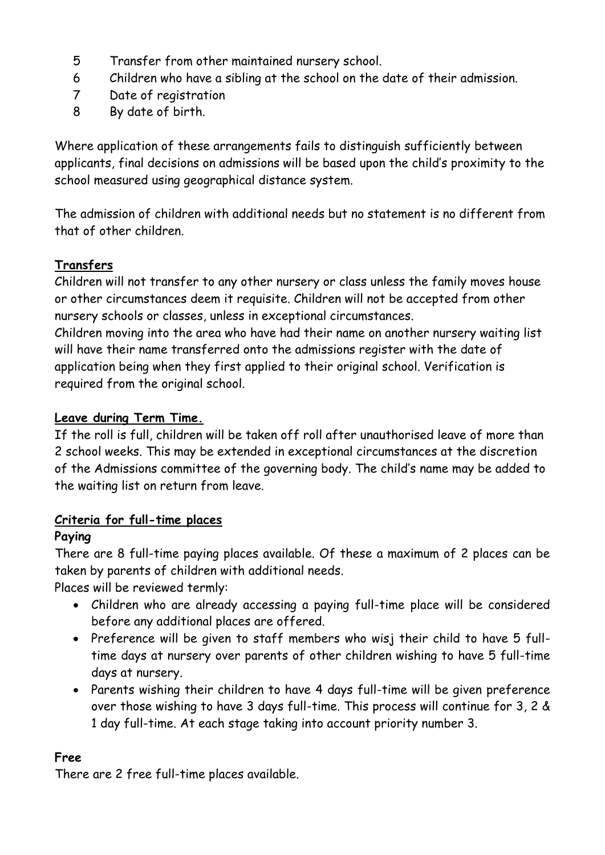- 5 Transfer from other maintained nursery school.
- 6 Children who have a sibling at the school on the date of their admission.
- 7 Date of registration
- 8 By date of birth.

Where application of these arrangements fails to distinguish sufficiently between applicants, final decisions on admissions will be based upon the child's proximity to the school measured using geographical distance system.

The admission of children with additional needs but no statement is no different from that of other children.

## **Transfers**

Children will not transfer to any other nursery or class unless the family moves house or other circumstances deem it requisite. Children will not be accepted from other nursery schools or classes, unless in exceptional circumstances.

Children moving into the area who have had their name on another nursery waiting list will have their name transferred onto the admissions register with the date of application being when they first applied to their original school. Verification is required from the original school.

## **Leave during Term Time.**

If the roll is full, children will be taken off roll after unauthorised leave of more than 2 school weeks. This may be extended in exceptional circumstances at the discretion of the Admissions committee of the governing body. The child's name may be added to the waiting list on return from leave.

## **Criteria for full-time places**

## **Paying**

There are 8 full-time paying places available. Of these a maximum of 2 places can be taken by parents of children with additional needs.

Places will be reviewed termly:

- Children who are already accessing a paying full-time place will be considered before any additional places are offered.
- Preference will be given to staff members who wisj their child to have 5 fulltime days at nursery over parents of other children wishing to have 5 full-time days at nursery.
- Parents wishing their children to have 4 days full-time will be given preference over those wishing to have 3 days full-time. This process will continue for 3, 2 & 1 day full-time. At each stage taking into account priority number 3.

## **Free**

There are 2 free full-time places available.